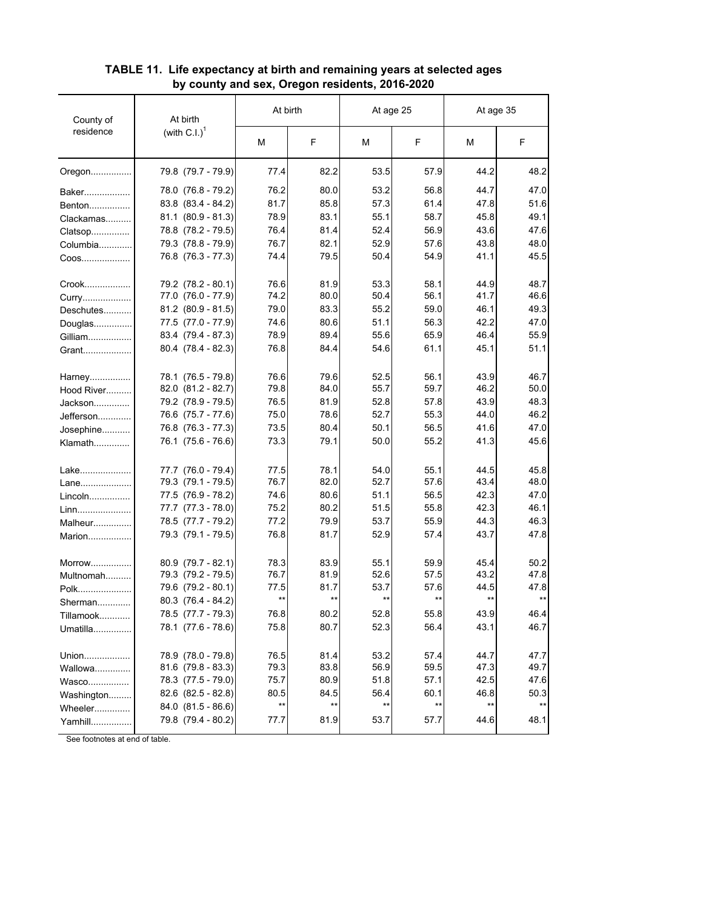| County of<br>residence | At birth                    | At birth        |       | At age 25       |       | At age 35 |              |
|------------------------|-----------------------------|-----------------|-------|-----------------|-------|-----------|--------------|
|                        | (with $C.I.$ ) <sup>1</sup> | м               | F     | М               | F     | М         | F            |
| Oregon                 | 79.8 (79.7 - 79.9)          | 77.4            | 82.2  | 53.5            | 57.9  | 44.2      | 48.2         |
| Baker                  | 78.0 (76.8 - 79.2)          | 76.2            | 80.0  | 53.2            | 56.8  | 44.7      | 47.0         |
| Benton                 | $83.8$ $(83.4 - 84.2)$      | 81.7            | 85.8  | 57.3            | 61.4  | 47.8      | 51.6         |
| Clackamas              | $81.1 (80.9 - 81.3)$        | 78.9            | 83.1  | 55.1            | 58.7  | 45.8      | 49.1         |
| Clatsop                | 78.8 (78.2 - 79.5)          | 76.4            | 81.4  | 52.4            | 56.9  | 43.6      | 47.6         |
| Columbia               | 79.3 (78.8 - 79.9)          | 76.7            | 82.1  | 52.9            | 57.6  | 43.8      | 48.0         |
| Coos                   | 76.8 (76.3 - 77.3)          | 74.4            | 79.5  | 50.4            | 54.9  | 41.1      | 45.5         |
| Crook                  | 79.2 (78.2 - 80.1)          | 76.6            | 81.9  | 53.3            | 58.1  | 44.9      | 48.7         |
| Curry                  | 77.0 (76.0 - 77.9)          | 74.2            | 80.0  | 50.4            | 56.1  | 41.7      | 46.6         |
| Deschutes              | $81.2$ $(80.9 - 81.5)$      | 79.0            | 83.3  | 55.2            | 59.0  | 46.1      | 49.3         |
| Douglas                | 77.5 (77.0 - 77.9)          | 74.6            | 80.6  | 51.1            | 56.3  | 42.2      | 47.0         |
| Gilliam                | 83.4 (79.4 - 87.3)          | 78.9            | 89.4  | 55.6            | 65.9  | 46.4      | 55.9         |
| Grant                  | $80.4$ $(78.4 - 82.3)$      | 76.8            | 84.4  | 54.6            | 61.1  | 45.1      | 51.1         |
| Harney                 | 78.1 (76.5 - 79.8)          | 76.6            | 79.6  | 52.5            | 56.1  | 43.9      | 46.7         |
| Hood River             | $82.0$ $(81.2 - 82.7)$      | 79.8            | 84.0  | 55.7            | 59.7  | 46.2      | 50.0         |
| Jackson                | 79.2 (78.9 - 79.5)          | 76.5            | 81.9  | 52.8            | 57.8  | 43.9      | 48.3         |
| Jefferson              | 76.6 (75.7 - 77.6)          | 75.0            | 78.6  | 52.7            | 55.3  | 44.0      | 46.2         |
| Josephine              | 76.8 (76.3 - 77.3)          | 73.5            | 80.4  | 50.1            | 56.5  | 41.6      | 47.0         |
| Klamath                | 76.1 (75.6 - 76.6)          | 73.3            | 79.1  | 50.0            | 55.2  | 41.3      | 45.6         |
| Lake                   | 77.7 (76.0 - 79.4)          | 77.5            | 78.1  | 54.0            | 55.1  | 44.5      | 45.8         |
| Lane                   | 79.3 (79.1 - 79.5)          | 76.7            | 82.0  | 52.7            | 57.6  | 43.4      | 48.0         |
| Lincoln                | 77.5 (76.9 - 78.2)          | 74.6            | 80.6  | 51.1            | 56.5  | 42.3      | 47.0         |
| Linn                   | 77.7 (77.3 - 78.0)          | 75.2            | 80.2  | 51.5            | 55.8  | 42.3      | 46.1         |
| Malheur                | 78.5 (77.7 - 79.2)          | 77.2            | 79.9  | 53.7            | 55.9  | 44.3      | 46.3         |
| Marion                 | 79.3 (79.1 - 79.5)          | 76.8            | 81.7  | 52.9            | 57.4  | 43.7      | 47.8         |
| Morrow                 | $80.9$ $(79.7 - 82.1)$      | 78.3            | 83.9  | 55.1            | 59.9  | 45.4      | 50.2         |
| Multnomah              | 79.3 (79.2 - 79.5)          | 76.7            | 81.9  | 52.6            | 57.5  | 43.2      | 47.8         |
| Polk                   | 79.6 (79.2 - 80.1)          | 77.5            | 81.7  | 53.7            | 57.6  | 44.5      | 47.8         |
| Sherman                | $80.3$ $(76.4 - 84.2)$      | $^{\star\star}$ | $***$ | $***$           | $***$ | **        | $***$        |
| Tillamook              | 78.5 (77.7 - 79.3)          | 76.8            | 80.2  | 52.8            | 55.8  | 43.9      | 46.4         |
| Umatilla               | 78.1 (77.6 - 78.6)          | 75.8            | 80.7  | 52.3            | 56.4  | 43.1      | 46.7         |
| Union                  | 78.9 (78.0 - 79.8)          | 76.5            | 81.4  | 53.2            | 57.4  | 44.7      | 47.7         |
| Wallowa                | $81.6$ (79.8 - 83.3)        | 79.3            | 83.8  | 56.9            | 59.5  | 47.3      | 49.7         |
| Wasco                  | 78.3 (77.5 - 79.0)          | 75.7            | 80.9  | 51.8            | 57.1  | 42.5      | 47.6         |
| Washington             | $82.6$ $(82.5 - 82.8)$      | 80.5            | 84.5  | 56.4            | 60.1  | 46.8      | 50.3         |
| Wheeler                | $84.0$ $(81.5 - 86.6)$      | **              | $***$ | $^{\star\star}$ | $***$ | **        | $\star\star$ |
| Yamhill                | 79.8 (79.4 - 80.2)          | 77.7            | 81.9  | 53.7            | 57.7  | 44.6      | 48.1         |

## **TABLE 11. Life expectancy at birth and remaining years at selected ages by county and sex, Oregon residents, 2016-2020**

See footnotes at end of table.